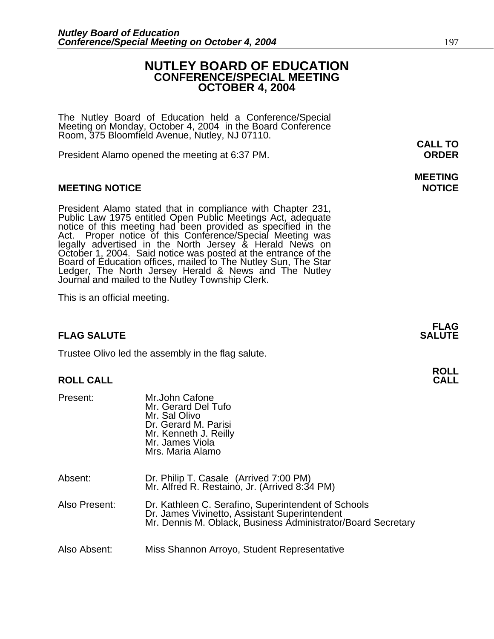### **NUTLEY BOARD OF EDUCATION CONFERENCE/SPECIAL MEETING OCTOBER 4, 2004**

The Nutley Board of Education held a Conference/Special Meeting on Monday, October 4, 2004 in the Board Conference Room, 375 Bloomfield Avenue, Nutley, NJ 07110.

President Alamo opened the meeting at 6:37 PM. **ORDER**

### **MEETING NOTICE NOTICE**

President Alamo stated that in compliance with Chapter 231, Public Law 1975 entitled Open Public Meetings Act, adequate notice of this meeting had been provided as specified in the Act. Proper notice of this Conference/Spe legally advertised in the North Jersey & Herald News on October 1, 2004. Said notice was posted at the entrance of the Board of Education offices, mailed to The Nutley Sun, The Star Ledger, The North Jersey Herald & News and The Nutley Journal and mailed to the Nutley Township Clerk.

This is an official meeting.

### **FLAG SALUTE** SALUTE SALUTE SALUTE SALUTE SALUTE

Trustee Olivo led the assembly in the flag salute.

### **ROLL CALL**

| Present:      | Mr.John Cafone<br>Mr. Gerard Del Tufo<br>Mr. Sal Olivo<br>Dr. Gerard M. Parisi<br>Mr. Kenneth J. Reilly<br>Mr. James Viola<br>Mrs. Maria Alamo                       |
|---------------|----------------------------------------------------------------------------------------------------------------------------------------------------------------------|
| Absent:       | Dr. Philip T. Casale (Arrived 7:00 PM)<br>Mr. Alfred R. Restaino, Jr. (Arrived 8:34 PM)                                                                              |
| Also Present: | Dr. Kathleen C. Serafino, Superintendent of Schools<br>Dr. James Vivinetto, Assistant Superintendent<br>Mr. Dennis M. Oblack, Business Administrator/Board Secretary |
| Also Absent:  | Miss Shannon Arroyo, Student Representative                                                                                                                          |

**CALL TO** 

# **MEETING**

**FLAG**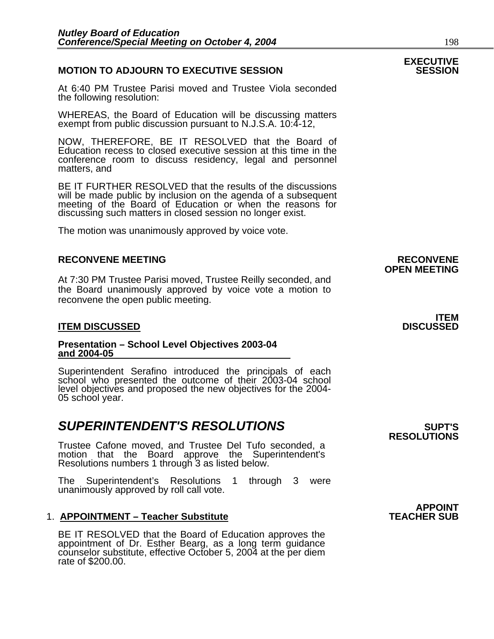### **MOTION TO ADJOURN TO EXECUTIVE SESSION**

At 6:40 PM Trustee Parisi moved and Trustee Viola seconded the following resolution:

WHEREAS, the Board of Education will be discussing matters exempt from public discussion pursuant to N.J.S.A. 10:4-12,

NOW, THEREFORE, BE IT RESOLVED that the Board of Education recess to closed executive session at this time in the conference room to discuss residency, legal and personnel matters, and

BE IT FURTHER RESOLVED that the results of the discussions will be made public by inclusion on the agenda of a subsequent meeting of the Board of Education or when the reasons for discussing such matters in closed session no longer exist.

The motion was unanimously approved by voice vote.

#### **RECONVENE MEETING RECONVENE**

At 7:30 PM Trustee Parisi moved, Trustee Reilly seconded, and the Board unanimously approved by voice vote a motion to reconvene the open public meeting.

#### **ITEM DISCUSSED**

#### **Presentation – School Level Objectives 2003-04 and 2004-05**

Superintendent Serafino introduced the principals of each school who presented the outcome of their 2003-04 school level objectives and proposed the new objectives for the 2004- 05 school year.

### **SUPERINTENDENT'S RESOLUTIONS** *SUPERINTENDENT'S*

Trustee Cafone moved, and Trustee Del Tufo seconded, a motion that the Board approve the Superintendent's Resolutions numbers 1 through 3 as listed below.

The Superintendent's Resolutions 1 through 3 were unanimously approved by roll call vote.

#### 1. **APPOINTMENT – Teacher Substitute**

BE IT RESOLVED that the Board of Education approves the appointment of Dr. Esther Bearg, as a long term guidance counselor substitute, effective October 5, 2004 at the per diem rate of \$200.00.

# **OPEN MEETING**

# **ITEM**<br>DISCUSSED

**RESOLUTIONS** 

# **APPOINT<br>TEACHER SUB**

# **EXECUTIVE**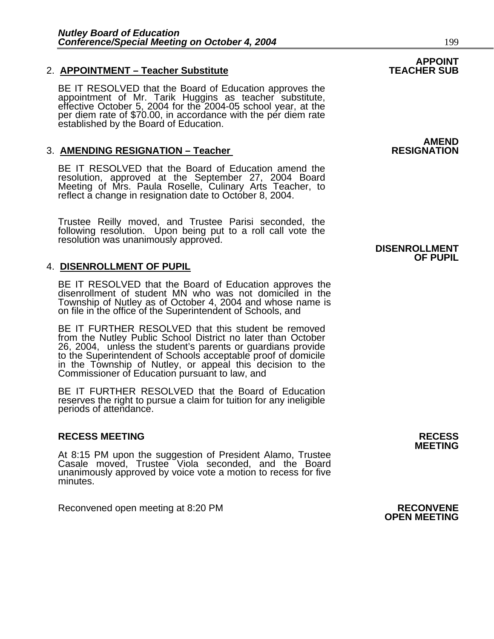### **2. APPOINTMENT – Teacher Substitute**

BE IT RESOLVED that the Board of Education approves the<br>appointment of Mr. Tarik Huggins as teacher substitute, effective October 5, 2004 for the 2004-05 school year, at the<br>per diem rate of \$70.00, in accordance with the per diem rate<br>established by the Board of Education.

### **3. AMENDING RESIGNATION – Teacher**

BE IT RESOLVED that the Board of Education amend the resolution, approved at the September 27, 2004 Board Meeting of Mrs. Paula Roselle, Culinary Arts Teacher, to reflect a change in resignation date to October 8, 2004.

Trustee Reilly moved, and Trustee Parisi seconded, the following resolution. Upon being put to a roll call vote the resolution was unanimously approved. **DISENROLLMENT** 

### 4. **DISENROLLMENT OF PUPIL**

BE IT RESOLVED that the Board of Education approves the<br>disenrollment of student MN who was not domiciled in the Township of Nutley as of October 4, 2004 and whose name is on file in the office of the Superintendent of Schools, and

BE IT FURTHER RESOLVED that this student be removed from the Nutley Public School District no later than October 26, 2004, unless the student's parents or guardians provide to the Superintendent of Schools acceptable proof of domicile in the Township of Nutley, or appeal this decision to the Commissioner of Education pursuant to law, and

BE IT FURTHER RESOLVED that the Board of Education reserves the right to pursue a claim for tuition for any ineligible periods of attendance.

#### **RECESS MEETING RECESS**

At 8:15 PM upon the suggestion of President Alamo, Trustee Casale moved, Trustee Viola seconded, and the Board unanimously approved by voice vote a motion to recess for five minutes.

Reconvened open meeting at 8:20 PM **RECONVENE**<br>**OPEN MEETING** 

**AMEND<br>RESIGNATION** 

**APPOINT<br>TEACHER SUB** 

## **OF PUPIL**

**MEETING**